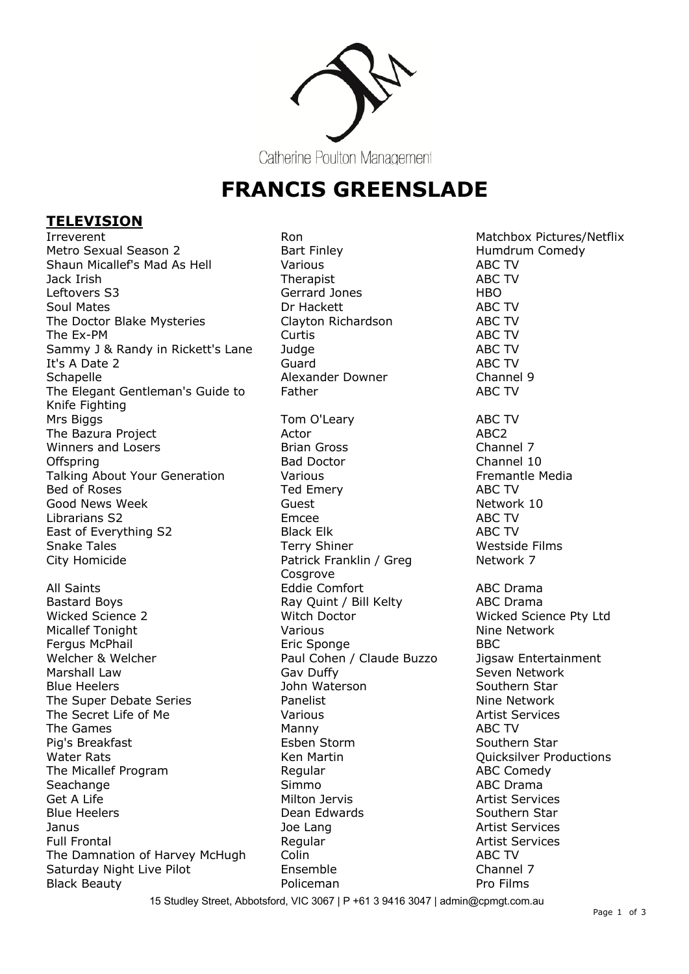

# **FRANCIS GREENSLADE**

#### **TELEVISION**

Irreverent **Intel Act and Treverent** Ron Ron Ron Matchbox Pictures/Netflix<br>
Metro Sexual Season 2 **Matchbox Pictures** Metro Sexual Season 2 Metro Sexual Season 2 and Bart Finley Metro Humdrum Comedy Shaun Micallef's Mad As Hell **Various** ABC TV Jack Irish Therapist ABC TV Leftovers S3 Gerrard Jones HBO Soul Mates **ABC TV Dr Hackett** ABC TV The Doctor Blake Mysteries Clayton Richardson ABC TV The Ex-PM Curtis Curtis ABC TV Sammy J & Randy in Rickett's Lane Judge ABC TV It's A Date 2 Guard Guard ABC TV Schapelle Alexander Downer Channel 9 The Elegant Gentleman's Guide to Knife Fighting Mrs Biggs Tom O'Leary Tom O'Leary ABC TV The Bazura Project **Actor** Actor ABC2 ABC2<br>
Winners and Losers **Actor** Brian Gross **Actor** ABC2 Winners and Losers **Brian Gross** Brian Gross Offspring **Bad Doctor** Channel 10 Talking About Your Generation Various Various Fremantle Media Bed of Roses **Ted Emery ABC TV** Good News Week Guest Network 10 Librarians S2 Emcee East of Everything S2 Black Elk Black Elk ABC TV Snake Tales Terry Shiner Terry Shiner Must Shake Tales Terry Shiner Must Shake Times City Homicide **Patrick Franklin / Greg** All Saints Eddie Comfort ABC Drama Bastard Boys **Ray Ouint / Bill Kelty** ABC Drama Wicked Science 2 Witch Doctor Wicked Science Pty Ltd Micallef Tonight **Nine Network** Various **Nine Network** Nine Network **Fergus McPhail Community Community Community** Eric Sponge Theory BBC Welcher & Welcher Paul Cohen / Claude Buzzo Jigsaw Entertainment Marshall Law Gav Duffy Seven Network Seven Network Blue Heelers John Waterson Southern Star The Super Debate Series **Panelist** Panelist Nine Network The Secret Life of Me **Various** Various Artist Services<br>
The Games **Artist Services**<br>
Manny ABC TV The Games **Manny** Manny **ABC TV** Pig's Breakfast **Esben Storm** Espen Storm Southern Star Water Rats **Ken Martin Communist Constructions** Ken Martin **Constructions** Constructions

Father ABC TV Cosgrove The Micallef Program The Megular Regular ABC Comedy Seachange **Simmo ABC Drama** Get A Life **Milton Jervis** Artist Services Artist Services Blue Heelers **Southern Start Communist Communist Communist Communist Communist Communist Communist Communist Communist Communist Communist Communist Communist Communist Communist Communist Communist Communist Communist Com** Janus **Joe Lang Artist Services** Joe Lang Artist Services Full Frontal **Regular** Regular **Regular** Artist Services The Damnation of Harvey McHugh Colin Colin Colin ABC TV Saturday Night Live Pilot **Ensemble** Ensemble Channel 7 Black Beauty Policeman Pro Films

Network 7

15 Studley Street, Abbotsford, VIC 3067 | P +61 3 9416 3047 | admin@cpmgt.com.au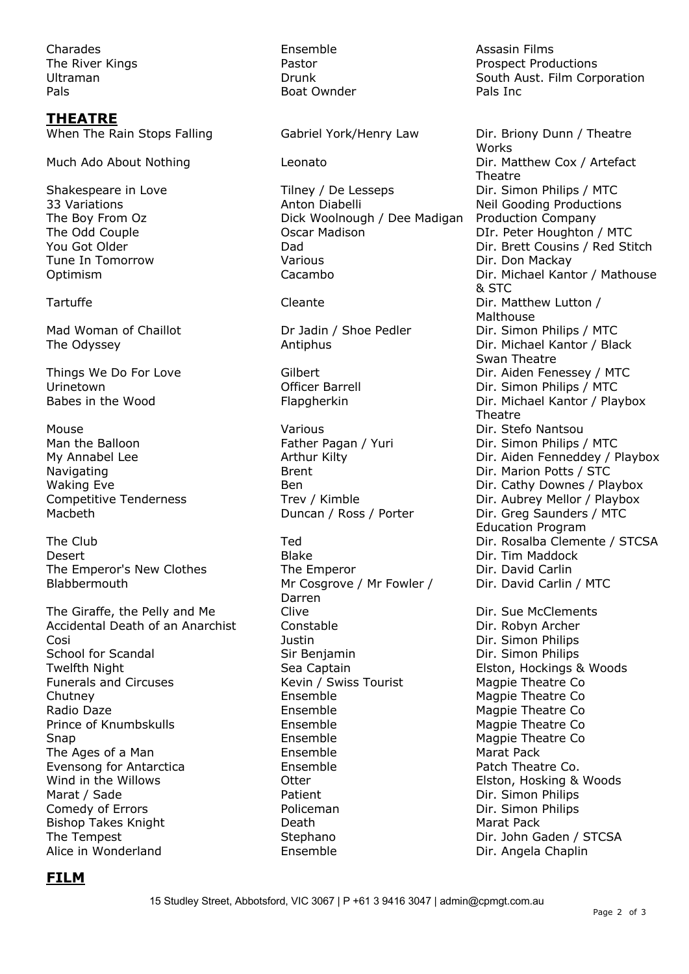Charades Ensemble Assasin Films Pals **Pals** Boat Ownder Pals Inc

### **THEATRE**

When The Rain Stops Falling Gabriel York/Henry Law Dir. Briony Dunn / Theatre

Mouse Communication of Communication Communication and Various Communication Dir. Stefo Nantsou Man the Balloon **Father Pagan / Yuri** Dir. Simon Philips / MTC Navigating **Brent** Brent **Direct Brent** Dir. Marion Potts / STC

Desert Blake Dir. Tim Maddock The Emperor's New Clothes The Emperor The Emperor Dir. David Carlin Blabbermouth Mr Cosgrove / Mr Fowler /

The Giraffe, the Pelly and Me Clive Clive Clive Dir. Sue McClements Accidental Death of an Anarchist Constable Constable Dir. Robyn Archer Cosi Justin Dir. Simon Philips School for Scandal Sir Benjamin Books and Dir. Simon Philips<br>
Sea Captain Sea Captain Biston, Hockings 8 Twelfth Night<br>
Funerals and Circuses<br>
Funerals and Circuses<br>
Sea Captain / Swiss Tourist<br>
Service Sourist<br>
Service Service Service Service Magnie Theatre Co Funerals and Circuses Theorem Kevin / Swiss Tourist Magpie Theatre Co Chutney **Ensemble** Ensemble Magpie Theatre Co Radio Daze **Ensemble** Ensemble Magpie Theatre Co Prince of Knumbskulls **Ensemble** Ensemble Magpie Theatre Co Snap **Ensemble** Ensemble Magpie Theatre Co The Ages of a Man Nature Marat Pack Evensong for Antarctica Ensemble Patch Theatre Co. Wind in the Willows **Callet Contract Contract Contract Contract Contract Contract Contract Contract Contract Contract Contract Contract Contract Contract Contract Contract Contract Contract Contract Contract Contract Contr** Marat / Sade **Patient Patient Communist Patient** Patient Patient Patient Patient Patient Patient Patient Patient Comedy of Errors **Policeman** Policeman **Dir.** Simon Philips Bishop Takes Knight **Marat Pack** Death Marat Pack The Tempest The Tempest Controller Stephano Charles Controller Dir. John Gaden / STCSA Alice in Wonderland **Ensemble** Ensemble **Dir. Angela Chaplin** 

Shakespeare in Love Tilney / De Lesseps Dir. Simon Philips / MTC 33 Variations **Anton Diabelli** Neil Gooding Productions The Boy From Oz Dick Woolnough / Dee Madigan Production Company The Odd Couple **Contact Contact Contact Contact Contact Contact Contact Contact Contact Contact Contact Contact Contact Contact Contact Contact Contact Contact Contact Contact Contact Contact Contact Contact Contact Contac** You Got Older **Direct Cousins / Red Stitch** Dad **Direct Cousins / Red Stitch** Tune In Tomorrow **The Community Community** Various Communication Communication Dir. Don Mackay

Darren

The River Kings **Pastor** Pastor Prospect Productions **Prospect Productions** Ultraman **South Australian Communist Control** Drunk Communist Communist Communist Communist Communist Communist Communist Communist Communist Communist Communist Communist Communist Communist Communist Communist Communist

Works Much Ado About Nothing Theonato Leonato Dir. Matthew Cox / Artefact Theatre Optimism Cacambo Dir. Michael Kantor / Mathouse & STC Tartuffe Cleante Cleante Cleante Dir. Matthew Lutton / Malthouse Mad Woman of Chaillot **Dr Jadin / Shoe Pedler** Dir. Simon Philips / MTC The Odyssey **Antiphus** Antiphus **Communist Controller Michael Kantor / Black Communist Controller** Antiphus **Communist Communist Communist Communist Communist Communist Communist Communist Communist Communist Communist C** Swan Theatre Things We Do For Love **Gilbert** Gilbert **Constant Constant Constant Constant Constant Constant Constant Constant Constant Constant Constant Constant Constant Constant Constant Constant Constant Constant Constant Constant C** Urinetown Officer Barrell Dir. Simon Philips / MTC Flapgherkin **Example 20** Dir. Michael Kantor / Playbox Theatre My Annabel Lee **Arthur Kilty** Dir. Aiden Fenneddey / Playbox Waking Eve **Ben** Ben Dir. Cathy Downes / Playbox Competitive Tenderness Trev / Kimble Dir. Aubrey Mellor / Playbox Macbeth Duncan / Ross / Porter Dir. Greg Saunders / MTC Education Program The Club Ted Ted Dir. Rosalba Clemente / STCSA Dir. David Carlin / MTC

**FILM**